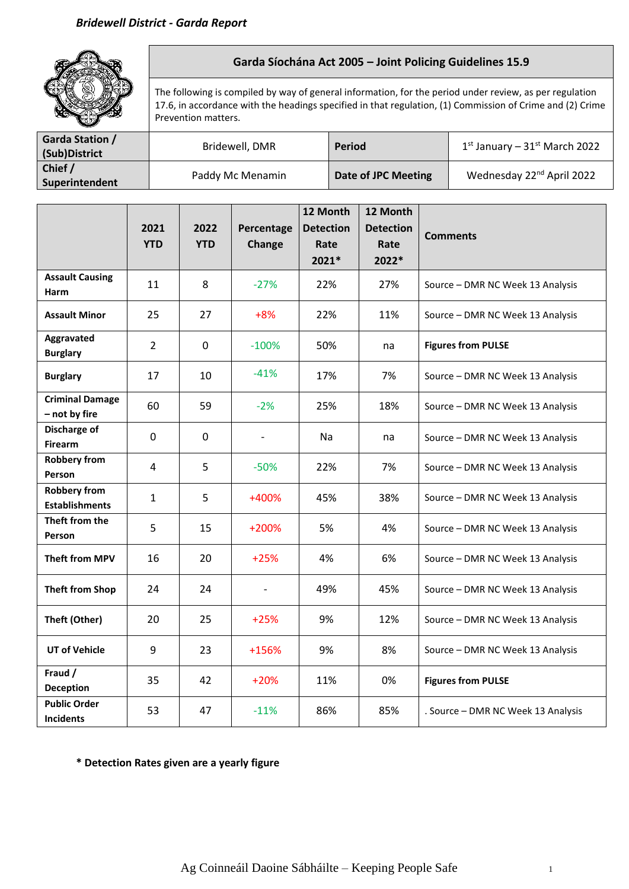

## **Garda Síochána Act 2005 – Joint Policing Guidelines 15.9**

The following is compiled by way of general information, for the period under review, as per regulation 17.6, in accordance with the headings specified in that regulation, (1) Commission of Crime and (2) Crime Prevention matters.

| <b>Garda Station /</b><br>(Sub)District | Bridewell, DMR   | <b>Period</b>       | $1st$ January – 31st March 2022       |
|-----------------------------------------|------------------|---------------------|---------------------------------------|
| Chief /<br><b>Superintendent</b>        | Paddy Mc Menamin | Date of JPC Meeting | Wednesday 22 <sup>nd</sup> April 2022 |

|                                              | 2021<br><b>YTD</b> | 2022<br><b>YTD</b> | Percentage<br>Change | 12 Month<br><b>Detection</b><br>Rate<br>2021* | 12 Month<br><b>Detection</b><br>Rate<br>2022* | <b>Comments</b>                    |
|----------------------------------------------|--------------------|--------------------|----------------------|-----------------------------------------------|-----------------------------------------------|------------------------------------|
| <b>Assault Causing</b><br>Harm               | 11                 | 8                  | $-27%$               | 22%                                           | 27%                                           | Source - DMR NC Week 13 Analysis   |
| <b>Assault Minor</b>                         | 25                 | 27                 | $+8%$                | 22%                                           | 11%                                           | Source - DMR NC Week 13 Analysis   |
| Aggravated<br><b>Burglary</b>                | $\overline{2}$     | $\pmb{0}$          | $-100%$              | 50%                                           | na                                            | <b>Figures from PULSE</b>          |
| <b>Burglary</b>                              | 17                 | 10                 | $-41%$               | 17%                                           | 7%                                            | Source - DMR NC Week 13 Analysis   |
| <b>Criminal Damage</b><br>- not by fire      | 60                 | 59                 | $-2%$                | 25%                                           | 18%                                           | Source - DMR NC Week 13 Analysis   |
| Discharge of<br><b>Firearm</b>               | $\mathbf 0$        | 0                  | $\overline{a}$       | Na                                            | na                                            | Source - DMR NC Week 13 Analysis   |
| <b>Robbery from</b><br>Person                | $\overline{4}$     | 5                  | $-50%$               | 22%                                           | 7%                                            | Source - DMR NC Week 13 Analysis   |
| <b>Robbery from</b><br><b>Establishments</b> | $\mathbf{1}$       | 5                  | +400%                | 45%                                           | 38%                                           | Source - DMR NC Week 13 Analysis   |
| Theft from the<br>Person                     | 5                  | 15                 | +200%                | 5%                                            | 4%                                            | Source - DMR NC Week 13 Analysis   |
| <b>Theft from MPV</b>                        | 16                 | 20                 | $+25%$               | 4%                                            | 6%                                            | Source - DMR NC Week 13 Analysis   |
| <b>Theft from Shop</b>                       | 24                 | 24                 |                      | 49%                                           | 45%                                           | Source - DMR NC Week 13 Analysis   |
| Theft (Other)                                | 20                 | 25                 | $+25%$               | 9%                                            | 12%                                           | Source - DMR NC Week 13 Analysis   |
| <b>UT of Vehicle</b>                         | 9                  | 23                 | +156%                | 9%                                            | 8%                                            | Source - DMR NC Week 13 Analysis   |
| Fraud /<br><b>Deception</b>                  | 35                 | 42                 | $+20%$               | 11%                                           | 0%                                            | <b>Figures from PULSE</b>          |
| <b>Public Order</b><br><b>Incidents</b>      | 53                 | 47                 | $-11%$               | 86%                                           | 85%                                           | . Source - DMR NC Week 13 Analysis |

**\* Detection Rates given are a yearly figure**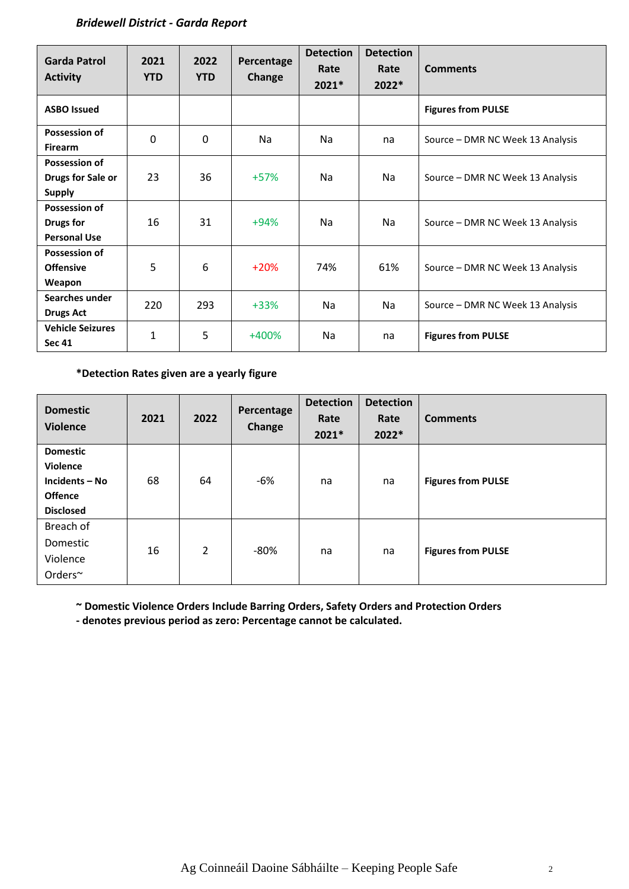## *Bridewell District - Garda Report*

| <b>Garda Patrol</b><br><b>Activity</b>                          | 2021<br><b>YTD</b> | 2022<br><b>YTD</b> | Percentage<br>Change | <b>Detection</b><br>Rate<br>2021* | <b>Detection</b><br>Rate<br>2022* | <b>Comments</b>                  |
|-----------------------------------------------------------------|--------------------|--------------------|----------------------|-----------------------------------|-----------------------------------|----------------------------------|
| <b>ASBO Issued</b>                                              |                    |                    |                      |                                   |                                   | <b>Figures from PULSE</b>        |
| <b>Possession of</b><br><b>Firearm</b>                          | $\Omega$           | 0                  | <b>Na</b>            | <b>Na</b>                         | na                                | Source – DMR NC Week 13 Analysis |
| <b>Possession of</b><br>Drugs for Sale or<br><b>Supply</b>      | 23                 | 36                 | $+57%$               | Na                                | <b>Na</b>                         | Source – DMR NC Week 13 Analysis |
| <b>Possession of</b><br><b>Drugs for</b><br><b>Personal Use</b> | 16                 | 31                 | $+94%$               | Na                                | <b>Na</b>                         | Source – DMR NC Week 13 Analysis |
| Possession of<br><b>Offensive</b><br>Weapon                     | 5                  | 6                  | $+20%$               | 74%                               | 61%                               | Source – DMR NC Week 13 Analysis |
| Searches under<br><b>Drugs Act</b>                              | 220                | 293                | $+33%$               | Na                                | <b>Na</b>                         | Source – DMR NC Week 13 Analysis |
| <b>Vehicle Seizures</b><br><b>Sec 41</b>                        | $\mathbf{1}$       | 5                  | $+400%$              | Na                                | na                                | <b>Figures from PULSE</b>        |

## **\*Detection Rates given are a yearly figure**

| <b>Domestic</b><br><b>Violence</b>                                                         | 2021 | 2022           | Percentage<br>Change | <b>Detection</b><br>Rate<br>2021* | <b>Detection</b><br>Rate<br>2022* | <b>Comments</b>           |
|--------------------------------------------------------------------------------------------|------|----------------|----------------------|-----------------------------------|-----------------------------------|---------------------------|
| <b>Domestic</b><br><b>Violence</b><br>Incidents - No<br><b>Offence</b><br><b>Disclosed</b> | 68   | 64             | $-6%$                | na                                | na                                | <b>Figures from PULSE</b> |
| Breach of<br>Domestic<br>Violence<br>Orders~                                               | 16   | $\overline{2}$ | $-80%$               | na                                | na                                | <b>Figures from PULSE</b> |

**~ Domestic Violence Orders Include Barring Orders, Safety Orders and Protection Orders**

**- denotes previous period as zero: Percentage cannot be calculated.**